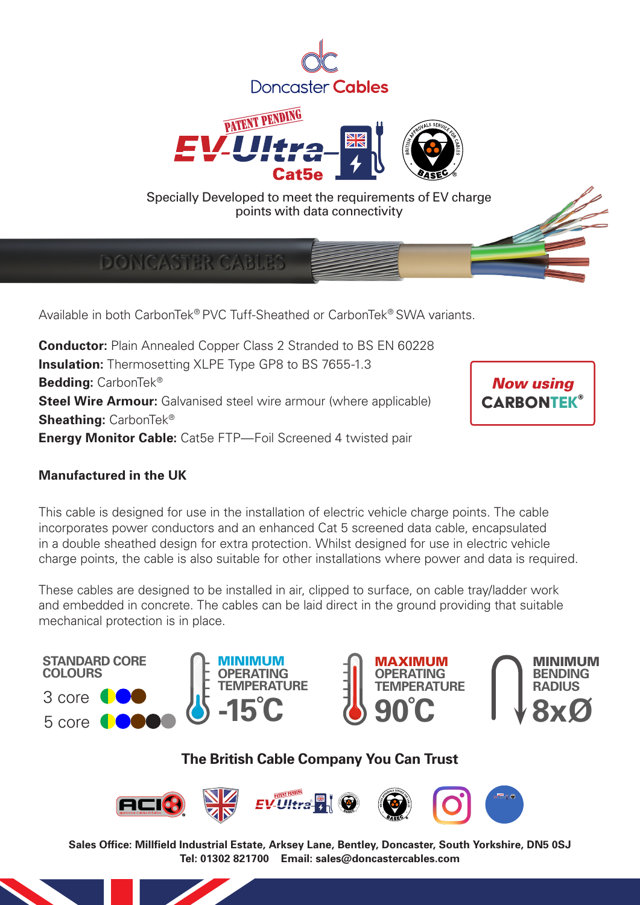



**DONCASTER CABLES** 

Available in both CarbonTek® PVC Tuff-Sheathed or CarbonTek® SWA variants.

**Conductor:** Plain Annealed Copper Class 2 Stranded to BS EN 60228 **Insulation:** Thermosetting XLPE Type GP8 to BS 7655-1.3 **Bedding:** CarbonTek® **Steel Wire Armour:** Galvanised steel wire armour (where applicable) **Sheathing:** CarbonTek® **Energy Monitor Cable:** Cat5e FTP—Foil Screened 4 twisted pair



### **Manufactured in the UK**

This cable is designed for use in the installation of electric vehicle charge points. The cable incorporates power conductors and an enhanced Cat 5 screened data cable, encapsulated in a double sheathed design for extra protection. Whilst designed for use in electric vehicle charge points, the cable is also suitable for other installations where power and data is required.

These cables are designed to be installed in air, clipped to surface, on cable tray/ladder work and embedded in concrete. The cables can be laid direct in the ground providing that suitable mechanical protection is in place.



### **The British Cable Company You Can Trust**

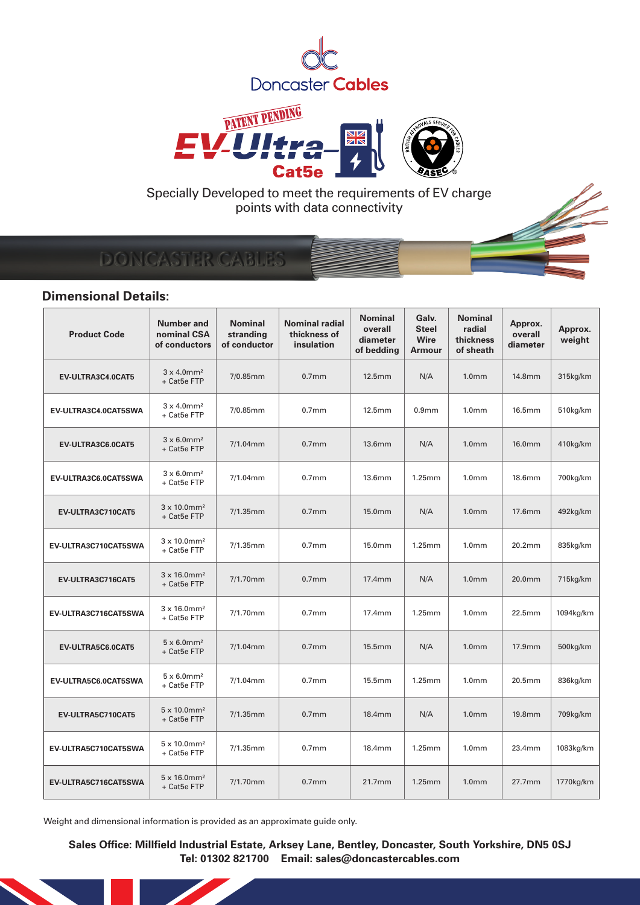



# DONCASTER CABLES

### **Dimensional Details:**

| <b>Product Code</b>  | <b>Number and</b><br>nominal CSA<br>of conductors | <b>Nominal</b><br>stranding<br>of conductor | <b>Nominal radial</b><br>thickness of<br>insulation | <b>Nominal</b><br>overall<br>diameter<br>of bedding | Galv.<br><b>Steel</b><br><b>Wire</b><br><b>Armour</b> | <b>Nominal</b><br>radial<br>thickness<br>of sheath | Approx.<br>overall<br>diameter | Approx.<br>weight |
|----------------------|---------------------------------------------------|---------------------------------------------|-----------------------------------------------------|-----------------------------------------------------|-------------------------------------------------------|----------------------------------------------------|--------------------------------|-------------------|
| EV-ULTRA3C4.0CAT5    | $3 \times 4.0$ mm <sup>2</sup><br>+ Cat5e FTP     | $7/0.85$ mm                                 | 0.7 <sub>mm</sub>                                   | 12.5mm                                              | N/A                                                   | 1.0 <sub>mm</sub>                                  | 14.8mm                         | 315kg/km          |
| EV-ULTRA3C4.0CAT5SWA | $3 \times 4.0$ mm <sup>2</sup><br>+ Cat5e FTP     | 7/0.85mm                                    | 0.7 <sub>mm</sub>                                   | 12.5mm                                              | 0.9 <sub>mm</sub>                                     | 1.0 <sub>mm</sub>                                  | 16.5mm                         | 510kg/km          |
| EV-ULTRA3C6.0CAT5    | $3 \times 6.0$ mm <sup>2</sup><br>+ Cat5e FTP     | 7/1.04mm                                    | 0.7 <sub>mm</sub>                                   | 13.6mm                                              | N/A                                                   | 1.0 <sub>mm</sub>                                  | 16.0mm                         | 410kg/km          |
| EV-ULTRA3C6.0CAT5SWA | $3 \times 6.0$ mm <sup>2</sup><br>+ Cat5e FTP     | 7/1.04mm                                    | 0.7 <sub>mm</sub>                                   | 13.6mm                                              | 1.25mm                                                | 1.0 <sub>mm</sub>                                  | 18.6mm                         | 700kg/km          |
| EV-ULTRA3C710CAT5    | $3 \times 10.0$ mm <sup>2</sup><br>+ Cat5e FTP    | $7/1.35$ mm                                 | 0.7 <sub>mm</sub>                                   | 15.0mm                                              | N/A                                                   | 1.0 <sub>mm</sub>                                  | 17.6mm                         | 492kg/km          |
| EV-ULTRA3C710CAT5SWA | $3 \times 10.0$ mm <sup>2</sup><br>+ Cat5e FTP    | $7/1.35$ mm                                 | 0.7 <sub>mm</sub>                                   | 15.0mm                                              | 1.25mm                                                | 1.0 <sub>mm</sub>                                  | 20.2mm                         | 835kg/km          |
| EV-ULTRA3C716CAT5    | $3 \times 16.0$ mm <sup>2</sup><br>+ Cat5e FTP    | $7/1.70$ mm                                 | 0.7 <sub>mm</sub>                                   | 17.4mm                                              | N/A                                                   | 1.0 <sub>mm</sub>                                  | 20.0mm                         | 715kg/km          |
| EV-ULTRA3C716CAT5SWA | $3 \times 16.0$ mm <sup>2</sup><br>+ Cat5e FTP    | $7/1.70$ mm                                 | 0.7 <sub>mm</sub>                                   | 17.4mm                                              | 1.25mm                                                | 1.0 <sub>mm</sub>                                  | 22.5mm                         | 1094kg/km         |
| EV-ULTRA5C6.0CAT5    | $5 \times 6.0$ mm <sup>2</sup><br>+ Cat5e FTP     | $7/1.04$ mm                                 | 0.7 <sub>mm</sub>                                   | 15.5mm                                              | N/A                                                   | 1.0 <sub>mm</sub>                                  | 17.9mm                         | 500kg/km          |
| EV-ULTRA5C6.0CAT5SWA | $5 \times 6.0$ mm <sup>2</sup><br>+ Cat5e FTP     | $7/1.04$ mm                                 | 0.7 <sub>mm</sub>                                   | 15.5mm                                              | 1.25mm                                                | 1.0 <sub>mm</sub>                                  | 20.5 <sub>mm</sub>             | 836kg/km          |
| EV-ULTRA5C710CAT5    | $5 \times 10.0$ mm <sup>2</sup><br>+ Cat5e FTP    | $7/1.35$ mm                                 | 0.7 <sub>mm</sub>                                   | 18.4mm                                              | N/A                                                   | 1.0 <sub>mm</sub>                                  | 19.8mm                         | 709kg/km          |
| EV-ULTRA5C710CAT5SWA | $5 \times 10.0$ mm <sup>2</sup><br>+ Cat5e FTP    | $7/1.35$ mm                                 | 0.7 <sub>mm</sub>                                   | 18.4mm                                              | 1.25mm                                                | 1.0 <sub>mm</sub>                                  | 23.4mm                         | 1083kg/km         |
| EV-ULTRA5C716CAT5SWA | $5 \times 16.0$ mm <sup>2</sup><br>+ Cat5e FTP    | $7/1.70$ mm                                 | 0.7 <sub>mm</sub>                                   | 21.7mm                                              | 1.25mm                                                | 1.0 <sub>mm</sub>                                  | 27.7mm                         | 1770kg/km         |

Weight and dimensional information is provided as an approximate guide only.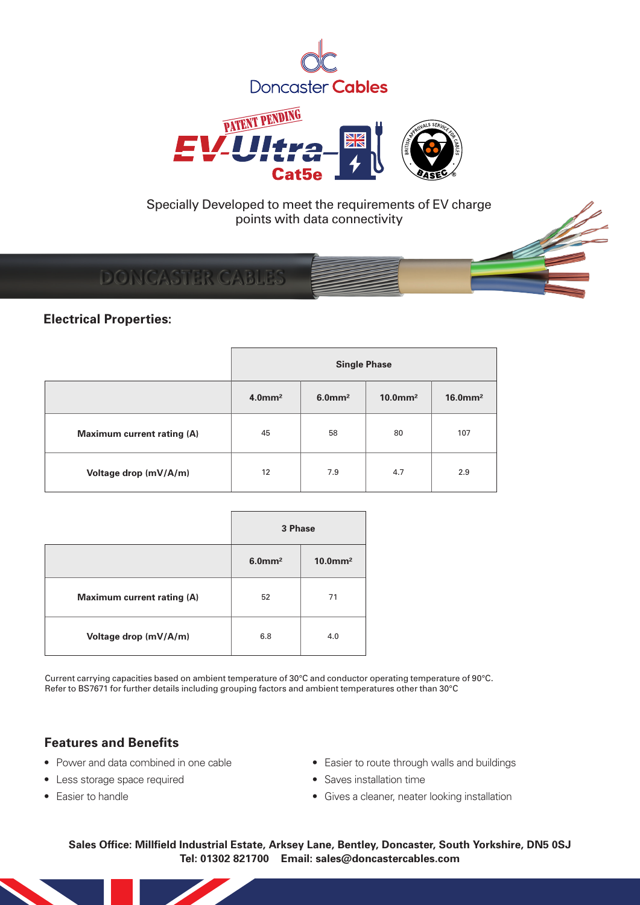



## **DONCASTER CABLES**

### **Electrical Properties:**

|                                   | <b>Single Phase</b>   |                       |                        |                        |  |  |
|-----------------------------------|-----------------------|-----------------------|------------------------|------------------------|--|--|
|                                   | $4.0$ mm <sup>2</sup> | $6.0$ mm <sup>2</sup> | $10.0$ mm <sup>2</sup> | $16.0$ mm <sup>2</sup> |  |  |
| <b>Maximum current rating (A)</b> | 45                    | 58                    | 80                     | 107                    |  |  |
| Voltage drop (mV/A/m)             | 12                    | 7.9                   | 4.7                    | 2.9                    |  |  |

|                            | 3 Phase               |                        |  |  |
|----------------------------|-----------------------|------------------------|--|--|
|                            | $6.0$ mm <sup>2</sup> | $10.0$ mm <sup>2</sup> |  |  |
| Maximum current rating (A) | 52                    | 71                     |  |  |
| Voltage drop (mV/A/m)      | 6.8                   | 4.0                    |  |  |

Current carrying capacities based on ambient temperature of 30°C and conductor operating temperature of 90°C. Refer to BS7671 for further details including grouping factors and ambient temperatures other than 30°C

#### **Features and Benefits**

- Power and data combined in one cable
- Less storage space required
- Fasier to handle
- Easier to route through walls and buildings
- Saves installation time
- Gives a cleaner, neater looking installation